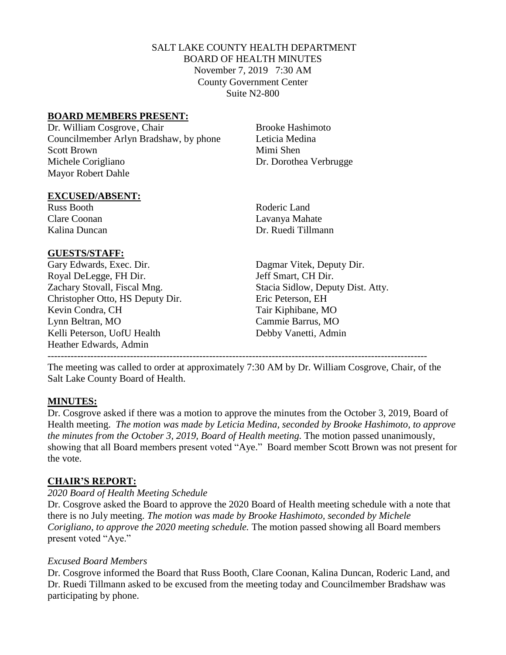# SALT LAKE COUNTY HEALTH DEPARTMENT BOARD OF HEALTH MINUTES November 7, 2019 7:30 AM County Government Center Suite N2-800

# **BOARD MEMBERS PRESENT:**

Dr. William Cosgrove, Chair Brooke Hashimoto Councilmember Arlyn Bradshaw, by phone Leticia Medina Scott Brown Mimi Shen Michele Corigliano Dr. Dorothea Verbrugge Mayor Robert Dahle

## **EXCUSED/ABSENT:**

Russ Booth Roderic Land

## **GUESTS/STAFF:**

Gary Edwards, Exec. Dir. Dagmar Vitek, Deputy Dir. Royal DeLegge, FH Dir. Jeff Smart, CH Dir. Christopher Otto, HS Deputy Dir. Eric Peterson, EH Kevin Condra, CH Tair Kiphibane, MO Lynn Beltran, MO Cammie Barrus, MO Kelli Peterson, UofU Health Debby Vanetti, Admin Heather Edwards, Admin -------------------------------------------------------------------------------------------------------------------

Clare Coonan Lavanya Mahate Kalina Duncan Dr. Ruedi Tillmann

Zachary Stovall, Fiscal Mng. Stacia Sidlow, Deputy Dist. Atty.

The meeting was called to order at approximately 7:30 AM by Dr. William Cosgrove, Chair, of the Salt Lake County Board of Health.

## **MINUTES:**

Dr. Cosgrove asked if there was a motion to approve the minutes from the October 3, 2019, Board of Health meeting. *The motion was made by Leticia Medina, seconded by Brooke Hashimoto, to approve the minutes from the October 3, 2019, Board of Health meeting.* The motion passed unanimously, showing that all Board members present voted "Aye." Board member Scott Brown was not present for the vote.

# **CHAIR'S REPORT:**

## *2020 Board of Health Meeting Schedule*

Dr. Cosgrove asked the Board to approve the 2020 Board of Health meeting schedule with a note that there is no July meeting. *The motion was made by Brooke Hashimoto, seconded by Michele Corigliano, to approve the 2020 meeting schedule.* The motion passed showing all Board members present voted "Aye."

## *Excused Board Members*

Dr. Cosgrove informed the Board that Russ Booth, Clare Coonan, Kalina Duncan, Roderic Land, and Dr. Ruedi Tillmann asked to be excused from the meeting today and Councilmember Bradshaw was participating by phone.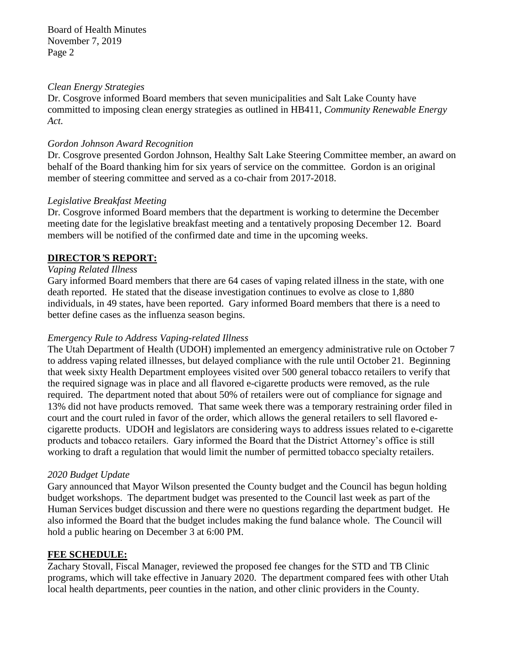Board of Health Minutes November 7, 2019 Page 2

#### *Clean Energy Strategies*

Dr. Cosgrove informed Board members that seven municipalities and Salt Lake County have committed to imposing clean energy strategies as outlined in HB411, *Community Renewable Energy Act.*

#### *Gordon Johnson Award Recognition*

Dr. Cosgrove presented Gordon Johnson, Healthy Salt Lake Steering Committee member, an award on behalf of the Board thanking him for six years of service on the committee. Gordon is an original member of steering committee and served as a co-chair from 2017-2018.

#### *Legislative Breakfast Meeting*

Dr. Cosgrove informed Board members that the department is working to determine the December meeting date for the legislative breakfast meeting and a tentatively proposing December 12. Board members will be notified of the confirmed date and time in the upcoming weeks.

### **DIRECTOR***'***S REPORT:**

### *Vaping Related Illness*

Gary informed Board members that there are 64 cases of vaping related illness in the state, with one death reported. He stated that the disease investigation continues to evolve as close to 1,880 individuals, in 49 states, have been reported. Gary informed Board members that there is a need to better define cases as the influenza season begins.

### *Emergency Rule to Address Vaping-related Illness*

The Utah Department of Health (UDOH) implemented an emergency administrative rule on October 7 to address vaping related illnesses, but delayed compliance with the rule until October 21. Beginning that week sixty Health Department employees visited over 500 general tobacco retailers to verify that the required signage was in place and all flavored e-cigarette products were removed, as the rule required. The department noted that about 50% of retailers were out of compliance for signage and 13% did not have products removed. That same week there was a temporary restraining order filed in court and the court ruled in favor of the order, which allows the general retailers to sell flavored ecigarette products. UDOH and legislators are considering ways to address issues related to e-cigarette products and tobacco retailers. Gary informed the Board that the District Attorney's office is still working to draft a regulation that would limit the number of permitted tobacco specialty retailers.

### *2020 Budget Update*

Gary announced that Mayor Wilson presented the County budget and the Council has begun holding budget workshops. The department budget was presented to the Council last week as part of the Human Services budget discussion and there were no questions regarding the department budget. He also informed the Board that the budget includes making the fund balance whole. The Council will hold a public hearing on December 3 at 6:00 PM.

## **FEE SCHEDULE:**

Zachary Stovall, Fiscal Manager, reviewed the proposed fee changes for the STD and TB Clinic programs, which will take effective in January 2020. The department compared fees with other Utah local health departments, peer counties in the nation, and other clinic providers in the County.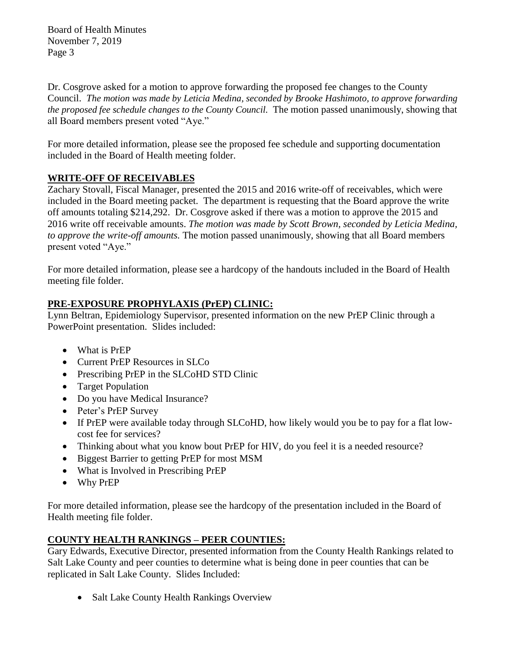Board of Health Minutes November 7, 2019 Page 3

Dr. Cosgrove asked for a motion to approve forwarding the proposed fee changes to the County Council. *The motion was made by Leticia Medina, seconded by Brooke Hashimoto, to approve forwarding the proposed fee schedule changes to the County Council.* The motion passed unanimously, showing that all Board members present voted "Aye."

For more detailed information, please see the proposed fee schedule and supporting documentation included in the Board of Health meeting folder.

# **WRITE-OFF OF RECEIVABLES**

Zachary Stovall, Fiscal Manager, presented the 2015 and 2016 write-off of receivables, which were included in the Board meeting packet. The department is requesting that the Board approve the write off amounts totaling \$214,292. Dr. Cosgrove asked if there was a motion to approve the 2015 and 2016 write off receivable amounts. *The motion was made by Scott Brown, seconded by Leticia Medina, to approve the write-off amounts.* The motion passed unanimously, showing that all Board members present voted "Aye."

For more detailed information, please see a hardcopy of the handouts included in the Board of Health meeting file folder.

# **PRE-EXPOSURE PROPHYLAXIS (PrEP) CLINIC:**

Lynn Beltran, Epidemiology Supervisor, presented information on the new PrEP Clinic through a PowerPoint presentation. Slides included:

- What is PrEP
- Current PrEP Resources in SLCo
- Prescribing PrEP in the SLCoHD STD Clinic
- Target Population
- Do you have Medical Insurance?
- Peter's PrEP Survey
- If PrEP were available today through SLCoHD, how likely would you be to pay for a flat lowcost fee for services?
- Thinking about what you know bout PrEP for HIV, do you feel it is a needed resource?
- Biggest Barrier to getting PrEP for most MSM
- What is Involved in Prescribing PrEP
- Why PrEP

For more detailed information, please see the hardcopy of the presentation included in the Board of Health meeting file folder.

# **COUNTY HEALTH RANKINGS – PEER COUNTIES:**

Gary Edwards, Executive Director, presented information from the County Health Rankings related to Salt Lake County and peer counties to determine what is being done in peer counties that can be replicated in Salt Lake County. Slides Included:

• Salt Lake County Health Rankings Overview